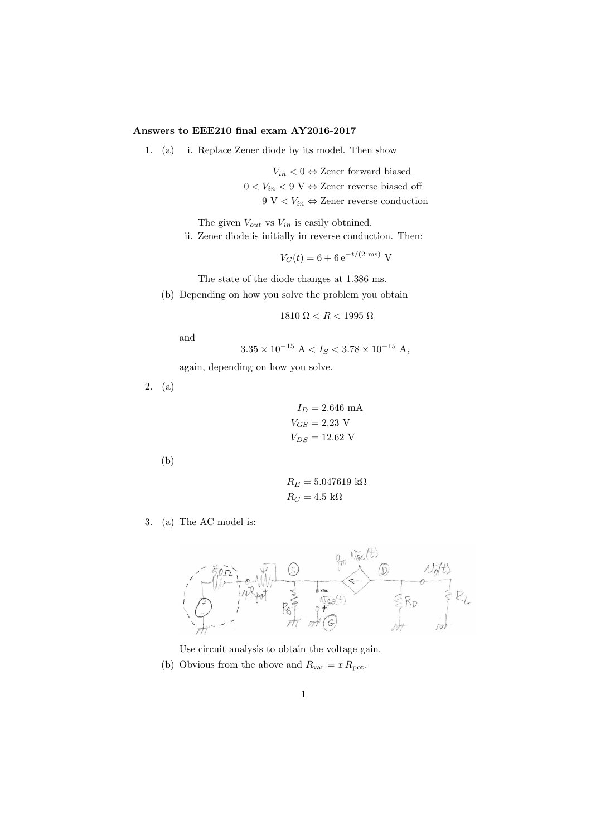## Answers to EEE210 final exam AY2016-2017

1. (a) i. Replace Zener diode by its model. Then show

 $V_{in}$  < 0  $\Leftrightarrow$  Zener forward biased  $0 < V_{in} < 9$ V $\Leftrightarrow$  Zener reverse biased off 9 V  $\lt V_{in} \Leftrightarrow$  Zener reverse conduction

The given  $V_{out}$  vs  $V_{in}$  is easily obtained.

ii. Zener diode is initially in reverse conduction. Then:

 $V_C(t) = 6 + 6 e^{-t/(2 \text{ ms})}$  V

The state of the diode changes at 1.386 ms.

(b) Depending on how you solve the problem you obtain

$$
1810\ \Omega < R < 1995\ \Omega
$$

and

$$
3.35 \times 10^{-15}
$$
 A  $< I_S < 3.78 \times 10^{-15}$  A,

again, depending on how you solve.

2. (a)

$$
I_D = 2.646
$$
 mA  

$$
V_{GS} = 2.23
$$
 V  

$$
V_{DS} = 12.62
$$
 V

(b)

$$
R_E = 5.047619 \text{ k}\Omega
$$
  

$$
R_C = 4.5 \text{ k}\Omega
$$

3. (a) The AC model is:



Use circuit analysis to obtain the voltage gain.

(b) Obvious from the above and  $R_{\text{var}} = x R_{\text{pot}}$ .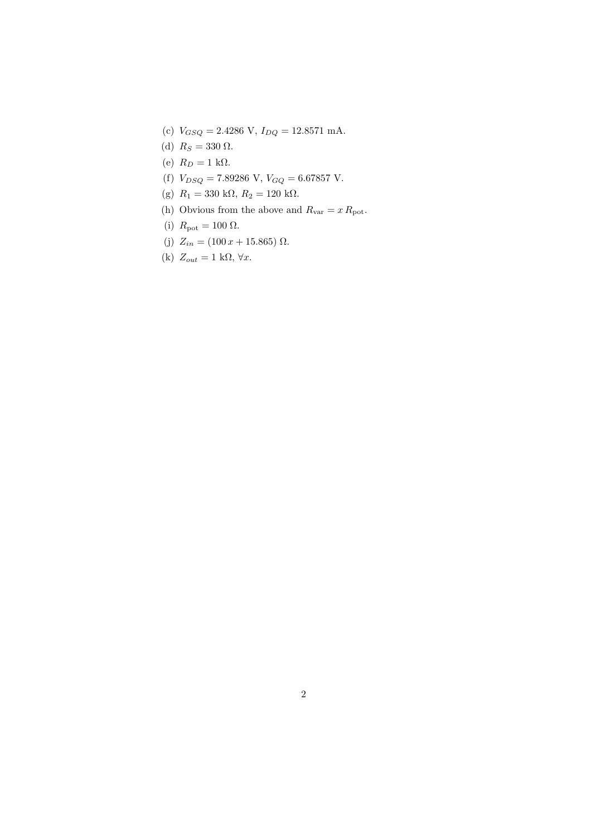- (c)  $V_{GSQ} = 2.4286 \text{ V}, I_{DQ} = 12.8571 \text{ mA}.$
- (d)  $R_S = 330 \Omega$ .
- (e)  $R_D = 1$  kΩ.
- (f)  $V_{DSQ} = 7.89286 \text{ V}, V_{GQ} = 6.67857 \text{ V}.$
- (g)  $R_1 = 330 \text{ k}\Omega, R_2 = 120 \text{ k}\Omega.$
- (h) Obvious from the above and  $R_{\text{var}} = x R_{\text{pot}}$ .
- (i)  $R_{\text{pot}} = 100 \Omega$ .
- (j)  $Z_{in} = (100 x + 15.865) \Omega.$

(k) 
$$
Z_{out} = 1 \text{ k}\Omega, \forall x.
$$